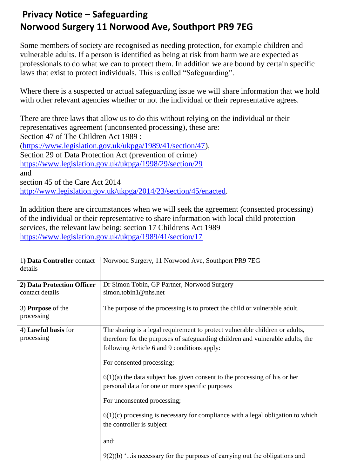## **Privacy Notice – Safeguarding Norwood Surgery 11 Norwood Ave, Southport PR9 7EG**

Some members of society are recognised as needing protection, for example children and vulnerable adults. If a person is identified as being at risk from harm we are expected as professionals to do what we can to protect them. In addition we are bound by certain specific laws that exist to protect individuals. This is called "Safeguarding".

Where there is a suspected or actual safeguarding issue we will share information that we hold with other relevant agencies whether or not the individual or their representative agrees.

There are three laws that allow us to do this without relying on the individual or their representatives agreement (unconsented processing), these are: Section 47 of The Children Act 1989 : [\(https://www.legislation.gov.uk/ukpga/1989/41/section/47\)](https://www.legislation.gov.uk/ukpga/1989/41/section/47),

Section 29 of Data Protection Act (prevention of crime)

<https://www.legislation.gov.uk/ukpga/1998/29/section/29>

and

section 45 of the Care Act 2014

[http://www.legislation.gov.uk/ukpga/2014/23/section/45/enacted.](http://www.legislation.gov.uk/ukpga/2014/23/section/45/enacted)

In addition there are circumstances when we will seek the agreement (consented processing) of the individual or their representative to share information with local child protection services, the relevant law being; section 17 Childrens Act 1989 <https://www.legislation.gov.uk/ukpga/1989/41/section/17>

| 1) Data Controller contact<br>details         | Norwood Surgery, 11 Norwood Ave, Southport PR9 7EG                                                                                                                                                                                                                                                                                                                                                                                                                                                                                                                                                                      |
|-----------------------------------------------|-------------------------------------------------------------------------------------------------------------------------------------------------------------------------------------------------------------------------------------------------------------------------------------------------------------------------------------------------------------------------------------------------------------------------------------------------------------------------------------------------------------------------------------------------------------------------------------------------------------------------|
| 2) Data Protection Officer<br>contact details | Dr Simon Tobin, GP Partner, Norwood Surgery<br>simon.tobin1@nhs.net                                                                                                                                                                                                                                                                                                                                                                                                                                                                                                                                                     |
| 3) <b>Purpose</b> of the<br>processing        | The purpose of the processing is to protect the child or vulnerable adult.                                                                                                                                                                                                                                                                                                                                                                                                                                                                                                                                              |
| 4) Lawful basis for<br>processing             | The sharing is a legal requirement to protect vulnerable children or adults,<br>therefore for the purposes of safeguarding children and vulnerable adults, the<br>following Article 6 and 9 conditions apply:<br>For consented processing;<br>$6(1)(a)$ the data subject has given consent to the processing of his or her<br>personal data for one or more specific purposes<br>For unconsented processing;<br>$6(1)(c)$ processing is necessary for compliance with a legal obligation to which<br>the controller is subject<br>and:<br>$9(2)(b)$ " is necessary for the purposes of carrying out the obligations and |